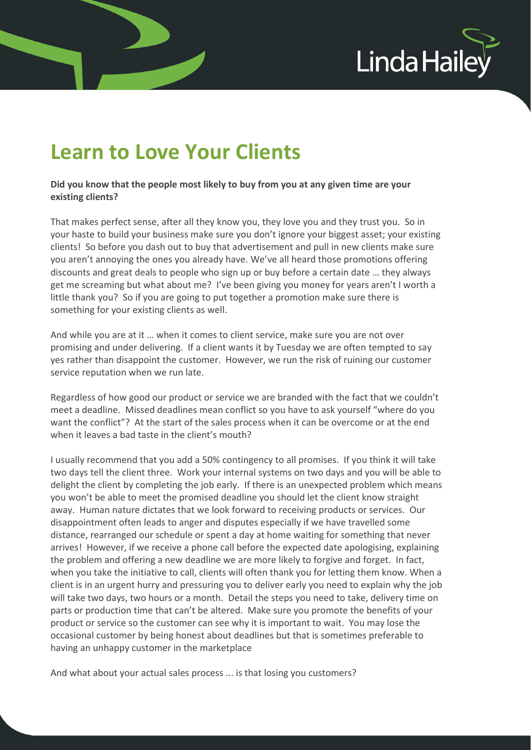

## **Learn to Love Your Clients**

**Did you know that the people most likely to buy from you at any given time are your existing clients?** 

That makes perfect sense, after all they know you, they love you and they trust you. So in your haste to build your business make sure you don't ignore your biggest asset; your existing clients! So before you dash out to buy that advertisement and pull in new clients make sure you aren't annoying the ones you already have. We've all heard those promotions offering discounts and great deals to people who sign up or buy before a certain date … they always get me screaming but what about me? I've been giving you money for years aren't I worth a little thank you? So if you are going to put together a promotion make sure there is something for your existing clients as well.

And while you are at it … when it comes to client service, make sure you are not over promising and under delivering. If a client wants it by Tuesday we are often tempted to say yes rather than disappoint the customer. However, we run the risk of ruining our customer service reputation when we run late.

Regardless of how good our product or service we are branded with the fact that we couldn't meet a deadline. Missed deadlines mean conflict so you have to ask yourself "where do you want the conflict"? At the start of the sales process when it can be overcome or at the end when it leaves a bad taste in the client's mouth?

I usually recommend that you add a 50% contingency to all promises. If you think it will take two days tell the client three. Work your internal systems on two days and you will be able to delight the client by completing the job early. If there is an unexpected problem which means you won't be able to meet the promised deadline you should let the client know straight away. Human nature dictates that we look forward to receiving products or services. Our disappointment often leads to anger and disputes especially if we have travelled some distance, rearranged our schedule or spent a day at home waiting for something that never arrives! However, if we receive a phone call before the expected date apologising, explaining the problem and offering a new deadline we are more likely to forgive and forget. In fact, when you take the initiative to call, clients will often thank you for letting them know. When a client is in an urgent hurry and pressuring you to deliver early you need to explain why the job will take two days, two hours or a month. Detail the steps you need to take, delivery time on parts or production time that can't be altered. Make sure you promote the benefits of your product or service so the customer can see why it is important to wait. You may lose the occasional customer by being honest about deadlines but that is sometimes preferable to having an unhappy customer in the marketplace

And what about your actual sales process ... is that losing you customers?